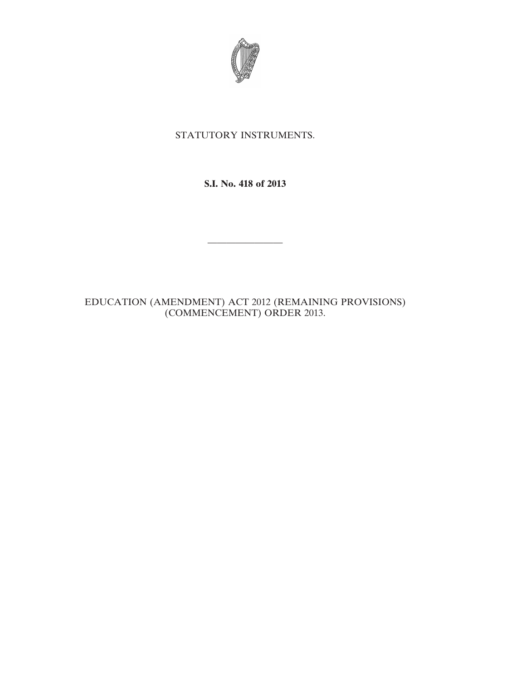

## STATUTORY INSTRUMENTS.

**S.I. No. 418 of 2013**

————————

EDUCATION (AMENDMENT) ACT 2012 (REMAINING PROVISIONS) (COMMENCEMENT) ORDER 2013.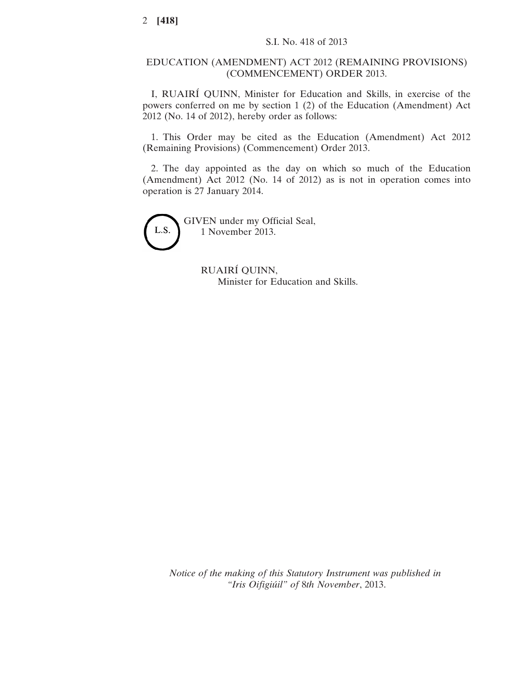## EDUCATION (AMENDMENT) ACT 2012 (REMAINING PROVISIONS) (COMMENCEMENT) ORDER 2013.

I, RUAIRÍ QUINN, Minister for Education and Skills, in exercise of the powers conferred on me by section 1 (2) of the Education (Amendment) Act 2012 (No. 14 of 2012), hereby order as follows:

1. This Order may be cited as the Education (Amendment) Act 2012 (Remaining Provisions) (Commencement) Order 2013.

2. The day appointed as the day on which so much of the Education (Amendment) Act 2012 (No. 14 of 2012) as is not in operation comes into operation is 27 January 2014.



GIVEN under my Official Seal, 1 November 2013.

> RUAIRÍ QUINN, Minister for Education and Skills.

*Notice of the making of this Statutory Instrument was published in "Iris Oifigiúil" of* 8*th November*, 2013.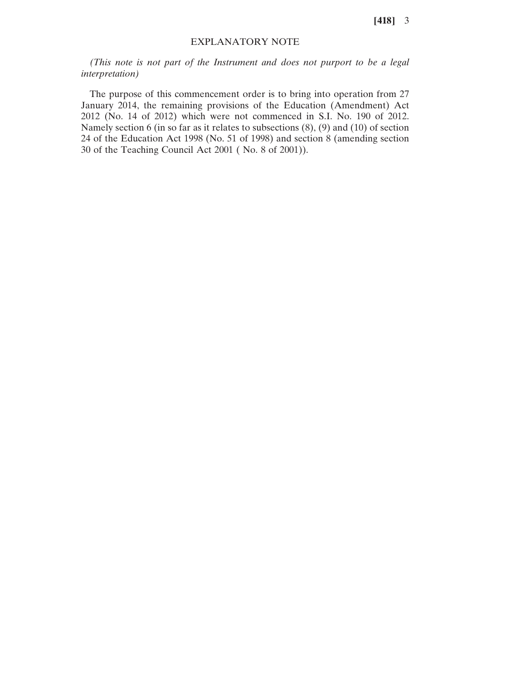**[418]** 3

## EXPLANATORY NOTE

*(This note is not part of the Instrument and does not purport to be a legal interpretation)*

The purpose of this commencement order is to bring into operation from 27 January 2014, the remaining provisions of the Education (Amendment) Act 2012 (No. 14 of 2012) which were not commenced in S.I. No. 190 of 2012. Namely section 6 (in so far as it relates to subsections (8), (9) and (10) of section 24 of the Education Act 1998 (No. 51 of 1998) and section 8 (amending section 30 of the Teaching Council Act 2001 ( No. 8 of 2001)).